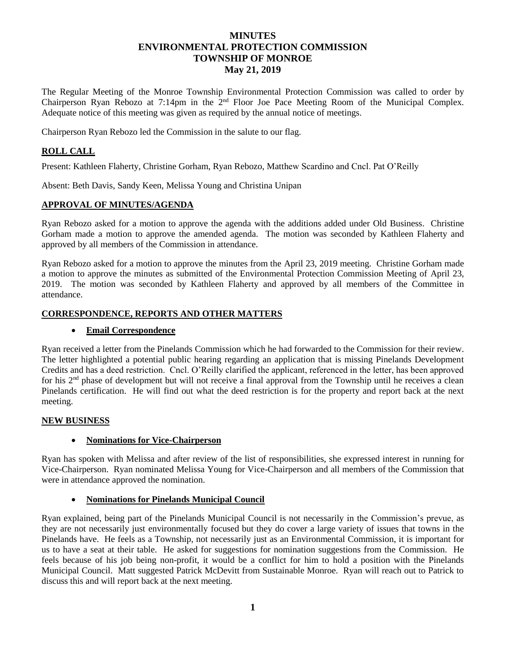# **MINUTES ENVIRONMENTAL PROTECTION COMMISSION TOWNSHIP OF MONROE May 21, 2019**

The Regular Meeting of the Monroe Township Environmental Protection Commission was called to order by Chairperson Ryan Rebozo at 7:14pm in the 2nd Floor Joe Pace Meeting Room of the Municipal Complex. Adequate notice of this meeting was given as required by the annual notice of meetings.

Chairperson Ryan Rebozo led the Commission in the salute to our flag.

## **ROLL CALL**

Present: Kathleen Flaherty, Christine Gorham, Ryan Rebozo, Matthew Scardino and Cncl. Pat O'Reilly

Absent: Beth Davis, Sandy Keen, Melissa Young and Christina Unipan

### **APPROVAL OF MINUTES/AGENDA**

Ryan Rebozo asked for a motion to approve the agenda with the additions added under Old Business. Christine Gorham made a motion to approve the amended agenda. The motion was seconded by Kathleen Flaherty and approved by all members of the Commission in attendance.

Ryan Rebozo asked for a motion to approve the minutes from the April 23, 2019 meeting. Christine Gorham made a motion to approve the minutes as submitted of the Environmental Protection Commission Meeting of April 23, 2019. The motion was seconded by Kathleen Flaherty and approved by all members of the Committee in attendance.

### **CORRESPONDENCE, REPORTS AND OTHER MATTERS**

### **Email Correspondence**

Ryan received a letter from the Pinelands Commission which he had forwarded to the Commission for their review. The letter highlighted a potential public hearing regarding an application that is missing Pinelands Development Credits and has a deed restriction. Cncl. O'Reilly clarified the applicant, referenced in the letter, has been approved for his  $2<sup>nd</sup>$  phase of development but will not receive a final approval from the Township until he receives a clean Pinelands certification. He will find out what the deed restriction is for the property and report back at the next meeting.

### **NEW BUSINESS**

### **Nominations for Vice-Chairperson**

Ryan has spoken with Melissa and after review of the list of responsibilities, she expressed interest in running for Vice-Chairperson. Ryan nominated Melissa Young for Vice-Chairperson and all members of the Commission that were in attendance approved the nomination.

### **Nominations for Pinelands Municipal Council**

Ryan explained, being part of the Pinelands Municipal Council is not necessarily in the Commission's prevue, as they are not necessarily just environmentally focused but they do cover a large variety of issues that towns in the Pinelands have. He feels as a Township, not necessarily just as an Environmental Commission, it is important for us to have a seat at their table. He asked for suggestions for nomination suggestions from the Commission. He feels because of his job being non-profit, it would be a conflict for him to hold a position with the Pinelands Municipal Council. Matt suggested Patrick McDevitt from Sustainable Monroe. Ryan will reach out to Patrick to discuss this and will report back at the next meeting.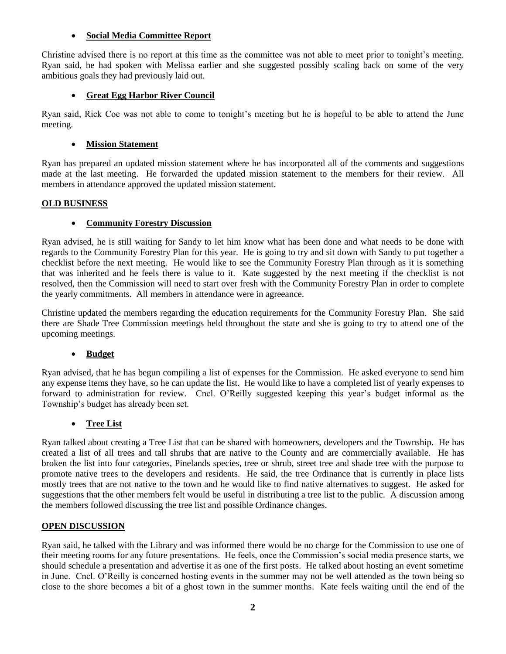## **Social Media Committee Report**

Christine advised there is no report at this time as the committee was not able to meet prior to tonight's meeting. Ryan said, he had spoken with Melissa earlier and she suggested possibly scaling back on some of the very ambitious goals they had previously laid out.

## **Great Egg Harbor River Council**

Ryan said, Rick Coe was not able to come to tonight's meeting but he is hopeful to be able to attend the June meeting.

## **Mission Statement**

Ryan has prepared an updated mission statement where he has incorporated all of the comments and suggestions made at the last meeting. He forwarded the updated mission statement to the members for their review. All members in attendance approved the updated mission statement.

### **OLD BUSINESS**

## **Community Forestry Discussion**

Ryan advised, he is still waiting for Sandy to let him know what has been done and what needs to be done with regards to the Community Forestry Plan for this year. He is going to try and sit down with Sandy to put together a checklist before the next meeting. He would like to see the Community Forestry Plan through as it is something that was inherited and he feels there is value to it. Kate suggested by the next meeting if the checklist is not resolved, then the Commission will need to start over fresh with the Community Forestry Plan in order to complete the yearly commitments. All members in attendance were in agreeance.

Christine updated the members regarding the education requirements for the Community Forestry Plan. She said there are Shade Tree Commission meetings held throughout the state and she is going to try to attend one of the upcoming meetings.

## **Budget**

Ryan advised, that he has begun compiling a list of expenses for the Commission. He asked everyone to send him any expense items they have, so he can update the list. He would like to have a completed list of yearly expenses to forward to administration for review. Cncl. O'Reilly suggested keeping this year's budget informal as the Township's budget has already been set.

## **Tree List**

Ryan talked about creating a Tree List that can be shared with homeowners, developers and the Township. He has created a list of all trees and tall shrubs that are native to the County and are commercially available. He has broken the list into four categories, Pinelands species, tree or shrub, street tree and shade tree with the purpose to promote native trees to the developers and residents. He said, the tree Ordinance that is currently in place lists mostly trees that are not native to the town and he would like to find native alternatives to suggest. He asked for suggestions that the other members felt would be useful in distributing a tree list to the public. A discussion among the members followed discussing the tree list and possible Ordinance changes.

### **OPEN DISCUSSION**

Ryan said, he talked with the Library and was informed there would be no charge for the Commission to use one of their meeting rooms for any future presentations. He feels, once the Commission's social media presence starts, we should schedule a presentation and advertise it as one of the first posts. He talked about hosting an event sometime in June. Cncl. O'Reilly is concerned hosting events in the summer may not be well attended as the town being so close to the shore becomes a bit of a ghost town in the summer months. Kate feels waiting until the end of the